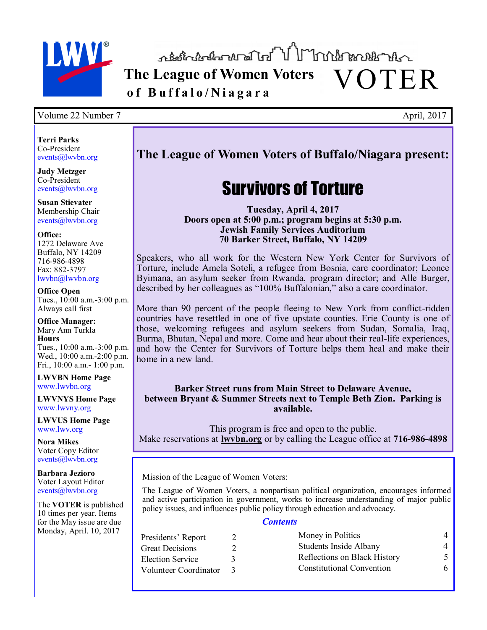

**The League of Women Voters** VOTER **o f B u f f a l o / N i a g a r a**

### Volume 22 Number 7 April, 2017

**Terri Parks** Co-President events@lwvbn.org

**Judy Metzger** Co-President events@lwvbn.org

**Susan Stievater** Membership Chair events@lwvbn.org

#### **Office:**

1272 Delaware Ave Buffalo, NY 14209 716-986-4898 Fax: 882-3797 lwvbn@lwvbn.org

**Office Open** Tues., 10:00 a.m.-3:00 p.m. Always call first

**Office Manager:** Mary Ann Turkla **Hours** Tues., 10:00 a.m.-3:00 p.m. Wed., 10:00 a.m.-2:00 p.m.

Fri., 10:00 a.m.- 1:00 p.m. **LWVBN Home Page**

www.lwvbn.org

**LWVNYS Home Page**  www.lwvny.org

**LWVUS Home Page** www.lwv.org

**Nora Mikes** Voter Copy Editor events@lwvbn.org

**Barbara Jezioro** Voter Layout Editor events@lwvbn.org

The **VOTER** is published 10 times per year. Items for the May issue are due Monday, April. 10, 2017

### **The League of Women Voters of Buffalo/Niagara present:**

# Survivors of Torture

**Tuesday, April 4, 2017 Doors open at 5:00 p.m.; program begins at 5:30 p.m. Jewish Family Services Auditorium 70 Barker Street, Buffalo, NY 14209**

Speakers, who all work for the Western New York Center for Survivors of Torture, include Amela Soteli, a refugee from Bosnia, care coordinator; Leonce Byimana, an asylum seeker from Rwanda, program director; and Alle Burger, described by her colleagues as "100% Buffalonian," also a care coordinator.

More than 90 percent of the people fleeing to New York from conflict-ridden countries have resettled in one of five upstate counties. Erie County is one of those, welcoming refugees and asylum seekers from Sudan, Somalia, Iraq, Burma, Bhutan, Nepal and more. Come and hear about their real-life experiences, and how the Center for Survivors of Torture helps them heal and make their home in a new land.

**Barker Street runs from Main Street to Delaware Avenue, between Bryant & Summer Streets next to Temple Beth Zion. Parking is available.**

This program is free and open to the public. Make reservations at **[lwvbn.org](http://www.lwvbn.org)** or by calling the League office at **716-986-4898**

Mission of the League of Women Voters:

The League of Women Voters, a nonpartisan political organization, encourages informed and active participation in government, works to increase understanding of major public policy issues, and influences public policy through education and advocacy.

### *Contents*

| Presidents' Report      | Money in Politics            | 4 |
|-------------------------|------------------------------|---|
| Great Decisions         | Students Inside Albany       | 4 |
| <b>Election Service</b> | Reflections on Black History |   |
| Volunteer Coordinator   | Constitutional Convention    | 6 |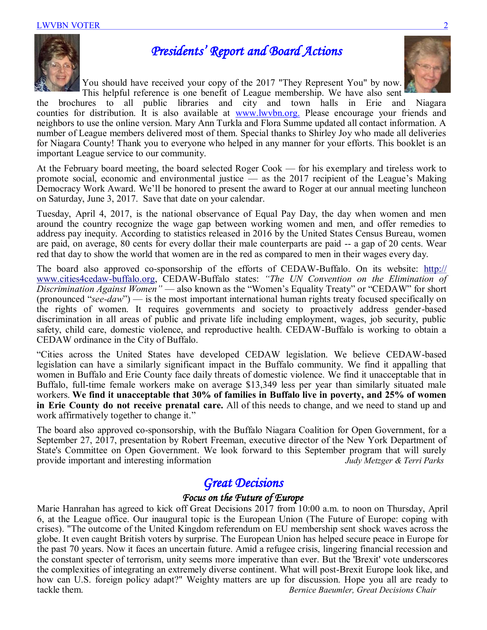

### *Presidents' Report and Board Actions*

You should have received your copy of the 2017 "They Represent You" by now. This helpful reference is one benefit of League membership. We have also sent



the brochures to all public libraries and city and town halls in Erie and Niagara counties for distribution. It is also available at [www.lwvbn.org.](http://www.lwvbn.org.) Please encourage your friends and neighbors to use the online version. Mary Ann Turkla and Flora Summe updated all contact information. A number of League members delivered most of them. Special thanks to Shirley Joy who made all deliveries for Niagara County! Thank you to everyone who helped in any manner for your efforts. This booklet is an important League service to our community.

At the February board meeting, the board selected Roger Cook — for his exemplary and tireless work to promote social, economic and environmental justice — as the 2017 recipient of the League's Making Democracy Work Award. We'll be honored to present the award to Roger at our annual meeting luncheon on Saturday, June 3, 2017. Save that date on your calendar.

Tuesday, April 4, 2017, is the national observance of Equal Pay Day, the day when women and men around the country recognize the wage gap between working women and men, and offer remedies to address pay inequity. According to statistics released in 2016 by the United States Census Bureau, women are paid, on average, 80 cents for every dollar their male counterparts are paid -- a gap of 20 cents. Wear red that day to show the world that women are in the red as compared to men in their wages every day.

The board also approved co-sponsorship of the efforts of CEDAW-Buffalo. On its website: [http://](http://www.cities4cedaw-buffalo.org/) [www.cities4cedaw](http://www.cities4cedaw-buffalo.org/)-buffalo.org, CEDAW-Buffalo states: *"The UN Convention on the Elimination of Discrimination Against Women"* — also known as the "Women's Equality Treaty" or "CEDAW" for short (pronounced "*see-daw*") — is the most important international human rights treaty focused specifically on the rights of women. It requires governments and society to proactively address gender-based discrimination in all areas of public and private life including employment, wages, job security, public safety, child care, domestic violence, and reproductive health. CEDAW-Buffalo is working to obtain a CEDAW ordinance in the City of Buffalo.

"Cities across the United States have developed CEDAW legislation. We believe CEDAW-based legislation can have a similarly significant impact in the Buffalo community. We find it appalling that women in Buffalo and Erie County face daily threats of domestic violence. We find it unacceptable that in Buffalo, full-time female workers make on average \$13,349 less per year than similarly situated male workers. **We find it unacceptable that 30% of families in Buffalo live in poverty, and 25% of women in Erie County do not receive prenatal care.** All of this needs to change, and we need to stand up and work affirmatively together to change it."

The board also approved co-sponsorship, with the Buffalo Niagara Coalition for Open Government, for a September 27, 2017, presentation by Robert Freeman, executive director of the New York Department of State's Committee on Open Government. We look forward to this September program that will surely provide important and interesting information *Judy Metzger & Terri Parks*

### *Great Decisions*

### *Focus on the Future of Europe*

Marie Hanrahan has agreed to kick off Great Decisions 2017 from 10:00 a.m. to noon on Thursday, April 6, at the League office. Our inaugural topic is the European Union (The Future of Europe: coping with crises). "The outcome of the United Kingdom referendum on EU membership sent shock waves across the globe. It even caught British voters by surprise. The European Union has helped secure peace in Europe for the past 70 years. Now it faces an uncertain future. Amid a refugee crisis, lingering financial recession and the constant specter of terrorism, unity seems more imperative than ever. But the 'Brexit' vote underscores the complexities of integrating an extremely diverse continent. What will post-Brexit Europe look like, and how can U.S. foreign policy adapt?" Weighty matters are up for discussion. Hope you all are ready to tackle them. *Bernice Baeumler, Great Decisions Chair*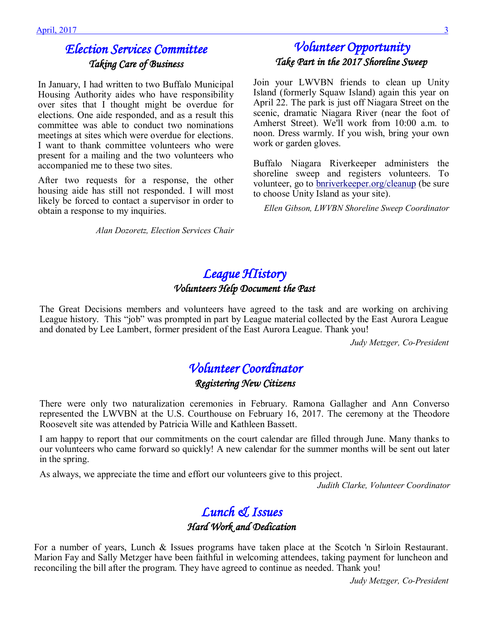# *Election Services Committee Taking Care of Business*

In January, I had written to two Buffalo Municipal Housing Authority aides who have responsibility over sites that I thought might be overdue for elections. One aide responded, and as a result this committee was able to conduct two nominations meetings at sites which were overdue for elections. I want to thank committee volunteers who were present for a mailing and the two volunteers who accompanied me to these two sites.

After two requests for a response, the other housing aide has still not responded. I will most likely be forced to contact a supervisor in order to obtain a response to my inquiries.

*Alan Dozoretz, Election Services Chair* 

# *Volunteer Opportunity Take Part in the 2017 Shoreline Sweep*

Join your LWVBN friends to clean up Unity Island (formerly Squaw Island) again this year on April 22. The park is just off Niagara Street on the scenic, dramatic Niagara River (near the foot of Amherst Street). We'll work from 10:00 a.m. to noon. Dress warmly. If you wish, bring your own work or garden gloves.

Buffalo Niagara Riverkeeper administers the shoreline sweep and registers volunteers. To volunteer, go to [bnriverkeeper.org/cleanup](http://bnriverkeeper.org/cleanup) (be sure to choose Unity Island as your site).

*Ellen Gibson, LWVBN Shoreline Sweep Coordinator*

### *League HIistory Volunteers Help Document the Past*

The Great Decisions members and volunteers have agreed to the task and are working on archiving League history. This "job" was prompted in part by League material collected by the East Aurora League and donated by Lee Lambert, former president of the East Aurora League. Thank you!

*Judy Metzger, Co-President*

# *Volunteer Coordinator*

*Registering New Citizens* 

There were only two naturalization ceremonies in February. Ramona Gallagher and Ann Converso represented the LWVBN at the U.S. Courthouse on February 16, 2017. The ceremony at the Theodore Roosevelt site was attended by Patricia Wille and Kathleen Bassett.

I am happy to report that our commitments on the court calendar are filled through June. Many thanks to our volunteers who came forward so quickly! A new calendar for the summer months will be sent out later in the spring.

As always, we appreciate the time and effort our volunteers give to this project.

*Judith Clarke, Volunteer Coordinator* 

### *Lunch & Issues Hard Work and Dedication*

For a number of years, Lunch & Issues programs have taken place at the Scotch 'n Sirloin Restaurant. Marion Fay and Sally Metzger have been faithful in welcoming attendees, taking payment for luncheon and reconciling the bill after the program. They have agreed to continue as needed. Thank you!

*Judy Metzger, Co-President*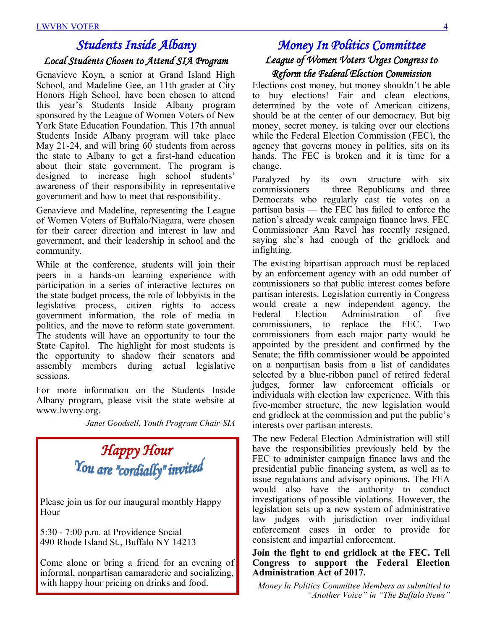# *Students Inside Albany*

### *Local Students Chosen to Attend SIA Program*

Genavieve Koyn, a senior at Grand Island High School, and Madeline Gee, an 11th grader at City Honors High School, have been chosen to attend this year's Students Inside Albany program sponsored by the League of Women Voters of New York State Education Foundation. This 17th annual Students Inside Albany program will take place May 21-24, and will bring 60 students from across the state to Albany to get a first-hand education about their state government. The program is designed to increase high school students' awareness of their responsibility in representative government and how to meet that responsibility.

Genavieve and Madeline, representing the League of Women Voters of Buffalo/Niagara, were chosen for their career direction and interest in law and government, and their leadership in school and the community.

While at the conference, students will join their peers in a hands-on learning experience with participation in a series of interactive lectures on the state budget process, the role of lobbyists in the legislative process, citizen rights to access government information, the role of media in politics, and the move to reform state government. The students will have an opportunity to tour the State Capitol. The highlight for most students is the opportunity to shadow their senators and assembly members during actual legislative sessions.

For more information on the Students Inside Albany program, please visit the state website at www.lwvny.org.

*Janet Goodsell, Youth Program Chair-SIA*

# *Happy Hour*<br><sup>*You are "cordially" invited*</sup>

Please join us for our inaugural monthly Happy Hour

5:30 - 7:00 p.m. at Providence Social 490 Rhode Island St., Buffalo NY 14213

Come alone or bring a friend for an evening of informal, nonpartisan camaraderie and socializing, with happy hour pricing on drinks and food.

### *Money In Politics Committee League of Women Voters Urges Congress to Reform the Federal Election Commission*

Elections cost money, but money shouldn't be able to buy elections! Fair and clean elections, determined by the vote of American citizens, should be at the center of our democracy. But big money, secret money, is taking over our elections while the Federal Election Commission (FEC), the agency that governs money in politics, sits on its hands. The FEC is broken and it is time for a change.

Paralyzed by its own structure with six commissioners — three Republicans and three Democrats who regularly cast tie votes on a partisan basis — the FEC has failed to enforce the nation's already weak campaign finance laws. FEC Commissioner Ann Ravel has recently resigned, saying she's had enough of the gridlock and infighting.

The existing bipartisan approach must be replaced by an enforcement agency with an odd number of commissioners so that public interest comes before partisan interests. Legislation currently in Congress would create a new independent agency, the Federal Election Administration of five commissioners, to replace the FEC. Two commissioners from each major party would be appointed by the president and confirmed by the Senate; the fifth commissioner would be appointed on a nonpartisan basis from a list of candidates selected by a blue-ribbon panel of retired federal judges, former law enforcement officials or individuals with election law experience. With this five-member structure, the new legislation would end gridlock at the commission and put the public's interests over partisan interests.

The new Federal Election Administration will still have the responsibilities previously held by the FEC to administer campaign finance laws and the presidential public financing system, as well as to issue regulations and advisory opinions. The FEA would also have the authority to conduct investigations of possible violations. However, the legislation sets up a new system of administrative law judges with jurisdiction over individual enforcement cases in order to provide for consistent and impartial enforcement.

### **Join the fight to end gridlock at the FEC. Tell Congress to support the Federal Election Administration Act of 2017.**

*Money In Politics Committee Members as submitted to "Another Voice" in "The Buffalo News"*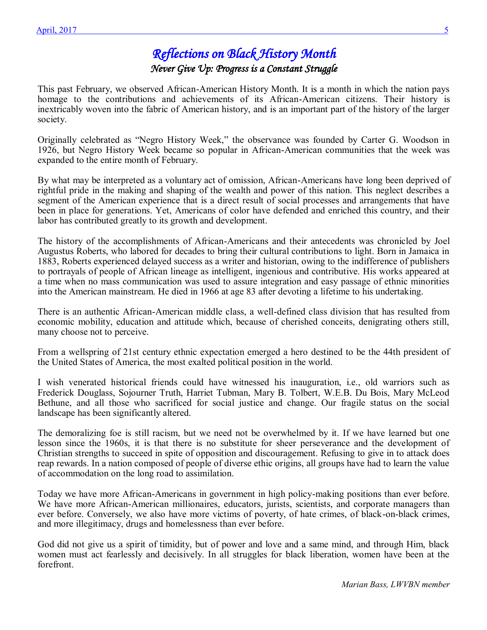## *Reflections on Black History Month Never Give Up: Progress is a Constant Struggle*

This past February, we observed African-American History Month. It is a month in which the nation pays homage to the contributions and achievements of its African-American citizens. Their history is inextricably woven into the fabric of American history, and is an important part of the history of the larger society.

Originally celebrated as "Negro History Week," the observance was founded by Carter G. Woodson in 1926, but Negro History Week became so popular in African-American communities that the week was expanded to the entire month of February.

By what may be interpreted as a voluntary act of omission, African-Americans have long been deprived of rightful pride in the making and shaping of the wealth and power of this nation. This neglect describes a segment of the American experience that is a direct result of social processes and arrangements that have been in place for generations. Yet, Americans of color have defended and enriched this country, and their labor has contributed greatly to its growth and development.

The history of the accomplishments of African-Americans and their antecedents was chronicled by Joel Augustus Roberts, who labored for decades to bring their cultural contributions to light. Born in Jamaica in 1883, Roberts experienced delayed success as a writer and historian, owing to the indifference of publishers to portrayals of people of African lineage as intelligent, ingenious and contributive. His works appeared at a time when no mass communication was used to assure integration and easy passage of ethnic minorities into the American mainstream. He died in 1966 at age 83 after devoting a lifetime to his undertaking.

There is an authentic African-American middle class, a well-defined class division that has resulted from economic mobility, education and attitude which, because of cherished conceits, denigrating others still, many choose not to perceive.

From a wellspring of 21st century ethnic expectation emerged a hero destined to be the 44th president of the United States of America, the most exalted political position in the world.

I wish venerated historical friends could have witnessed his inauguration, i.e., old warriors such as Frederick Douglass, Sojourner Truth, Harriet Tubman, Mary B. Tolbert, W.E.B. Du Bois, Mary McLeod Bethune, and all those who sacrificed for social justice and change. Our fragile status on the social landscape has been significantly altered.

The demoralizing foe is still racism, but we need not be overwhelmed by it. If we have learned but one lesson since the 1960s, it is that there is no substitute for sheer perseverance and the development of Christian strengths to succeed in spite of opposition and discouragement. Refusing to give in to attack does reap rewards. In a nation composed of people of diverse ethic origins, all groups have had to learn the value of accommodation on the long road to assimilation.

*Save The Date*  and more illegitimacy, drugs and homelessness than ever before. Today we have more African-Americans in government in high policy-making positions than ever before. We have more African-American millionaires, educators, jurists, scientists, and corporate managers than ever before. Conversely, we also have more victims of poverty, of hate crimes, of black-on-black crimes,

God did not give us a spirit of timidity, but of power and love and a same mind, and through Him, black women must act fearlessly and decisively. In all struggles for black liberation, women have been at the forefront.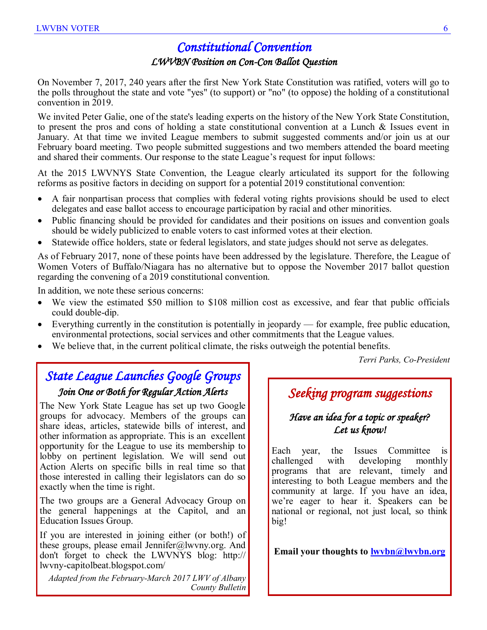# *Constitutional Convention*

### *LWVBN Position on Con-Con Ballot Question*

On November 7, 2017, 240 years after the first New York State Constitution was ratified, voters will go to the polls throughout the state and vote "yes" (to support) or "no" (to oppose) the holding of a constitutional convention in 2019.

We invited Peter Galie, one of the state's leading experts on the history of the New York State Constitution, to present the pros and cons of holding a state constitutional convention at a Lunch & Issues event in January. At that time we invited League members to submit suggested comments and/or join us at our February board meeting. Two people submitted suggestions and two members attended the board meeting and shared their comments. Our response to the state League's request for input follows:

At the 2015 LWVNYS State Convention, the League clearly articulated its support for the following reforms as positive factors in deciding on support for a potential 2019 constitutional convention:

- A fair nonpartisan process that complies with federal voting rights provisions should be used to elect delegates and ease ballot access to encourage participation by racial and other minorities.
- Public financing should be provided for candidates and their positions on issues and convention goals should be widely publicized to enable voters to cast informed votes at their election.
- Statewide office holders, state or federal legislators, and state judges should not serve as delegates.

As of February 2017, none of these points have been addressed by the legislature. Therefore, the League of Women Voters of Buffalo/Niagara has no alternative but to oppose the November 2017 ballot question regarding the convening of a 2019 constitutional convention.

In addition, we note these serious concerns:

- We view the estimated \$50 million to \$108 million cost as excessive, and fear that public officials could double-dip.
- Everything currently in the constitution is potentially in jeopardy for example, free public education, environmental protections, social services and other commitments that the League values.
- We believe that, in the current political climate, the risks outweigh the potential benefits.

*Terri Parks, Co-President* 

### *State League Launches Google Groups Join One or Both for Regular Action Alerts*

The New York State League has set up two Google groups for advocacy. Members of the groups can share ideas, articles, statewide bills of interest, and other information as appropriate. This is an excellent opportunity for the League to use its membership to lobby on pertinent legislation. We will send out Action Alerts on specific bills in real time so that those interested in calling their legislators can do so exactly when the time is right.

The two groups are a General Advocacy Group on the general happenings at the Capitol, and an Education Issues Group.

If you are interested in joining either (or both!) of these groups, please email Jennifer@lwvny.org. And don't forget to check the LWVNYS blog: http:// lwvny-capitolbeat.blogspot.com/

*Adapted from the February-March 2017 LWV of Albany County Bulletin* 

## *Seeking program suggestions*

### *Have an idea for a topic or speaker? Let us know!*

Each year, the Issues Committee is challenged with developing monthly programs that are relevant, timely and interesting to both League members and the community at large. If you have an idea, we're eager to hear it. Speakers can be national or regional, not just local, so think big!

**Email your thoughts to [lwvbn@lwvbn.org](mailto:lwvbn@lwvbn.org)**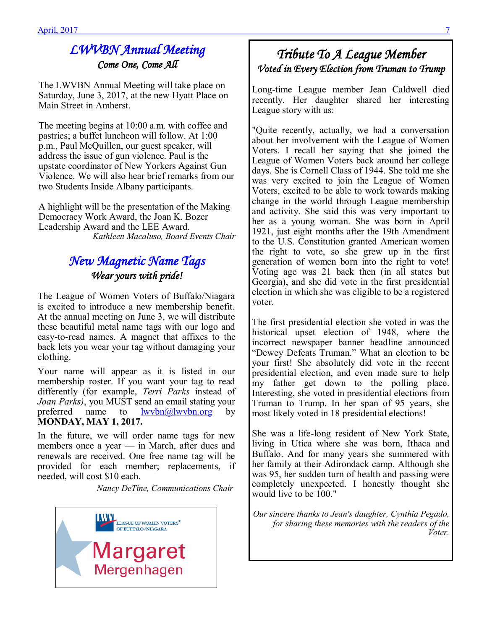# *LWVBN Annual Meeting Come One, Come All*

The LWVBN Annual Meeting will take place on Saturday, June 3, 2017, at the new Hyatt Place on Main Street in Amherst.

The meeting begins at 10:00 a.m. with coffee and pastries; a buffet luncheon will follow. At 1:00 p.m., Paul McQuillen, our guest speaker, will address the issue of gun violence. Paul is the upstate coordinator of New Yorkers Against Gun Violence. We will also hear brief remarks from our two Students Inside Albany participants.

A highlight will be the presentation of the Making Democracy Work Award, the Joan K. Bozer Leadership Award and the LEE Award. *Kathleen Macaluso, Board Events Chair*

## *New Magnetic Name Tags Wear yours with pride!*

The League of Women Voters of Buffalo/Niagara is excited to introduce a new membership benefit. At the annual meeting on June 3, we will distribute these beautiful metal name tags with our logo and easy-to-read names. A magnet that affixes to the back lets you wear your tag without damaging your clothing.

Your name will appear as it is listed in our membership roster. If you want your tag to read differently (for example, *Terri Parks* instead of *Joan Parks)*, you MUST send an email stating your preferred name to  $\frac{1}{2}$  lwvbn $\frac{a}{\sqrt{a}}$  lwvbn.org by **MONDAY, MAY 1, 2017.**

In the future, we will order name tags for new members once a year — in March, after dues and renewals are received. One free name tag will be provided for each member; replacements, if needed, will cost \$10 each.

 *Nancy DeTine, Communications Chair*



# *Tribute To A League Member Voted in Every Election from Truman to Trump*

Long-time League member Jean Caldwell died recently. Her daughter shared her interesting League story with us:

"Quite recently, actually, we had a conversation about her involvement with the League of Women Voters. I recall her saying that she joined the League of Women Voters back around her college days. She is Cornell Class of 1944. She told me she was very excited to join the League of Women Voters, excited to be able to work towards making change in the world through League membership and activity. She said this was very important to her as a young woman. She was born in April 1921, just eight months after the 19th Amendment to the U.S. Constitution granted American women the right to vote, so she grew up in the first generation of women born into the right to vote! Voting age was 21 back then (in all states but Georgia), and she did vote in the first presidential election in which she was eligible to be a registered voter.

The first presidential election she voted in was the historical upset election of 1948, where the incorrect newspaper banner headline announced "Dewey Defeats Truman." What an election to be your first! She absolutely did vote in the recent presidential election, and even made sure to help my father get down to the polling place. Interesting, she voted in presidential elections from Truman to Trump. In her span of 95 years, she most likely voted in 18 presidential elections!

She was a life-long resident of New York State, living in Utica where she was born, Ithaca and Buffalo. And for many years she summered with her family at their Adirondack camp. Although she was 95, her sudden turn of health and passing were completely unexpected. I honestly thought she would live to be 100."

*Our sincere thanks to Jean's daughter, Cynthia Pegado, for sharing these memories with the readers of the Voter.*